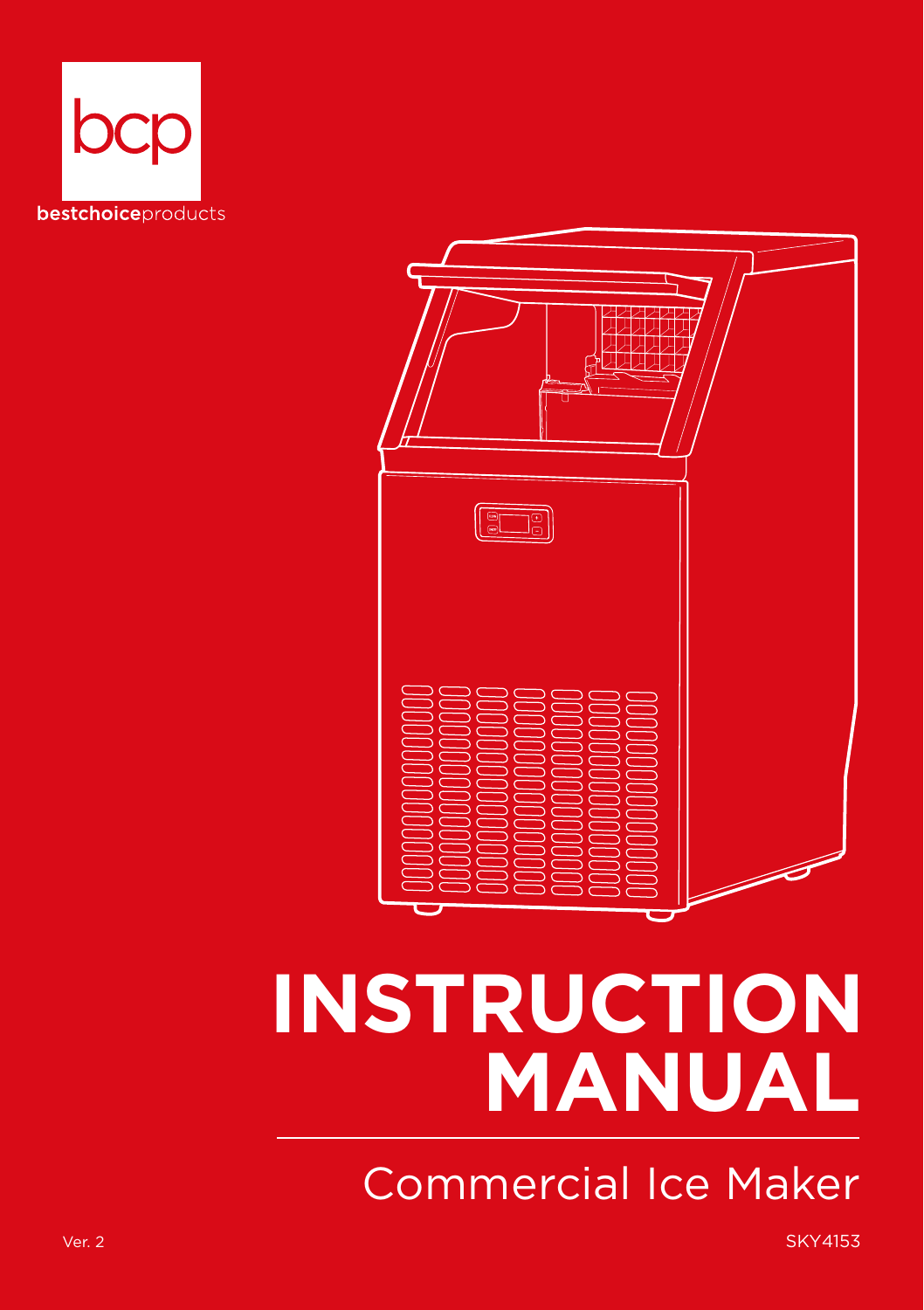



# **INSTRUCTION MANUAL**

Commercial Ice Maker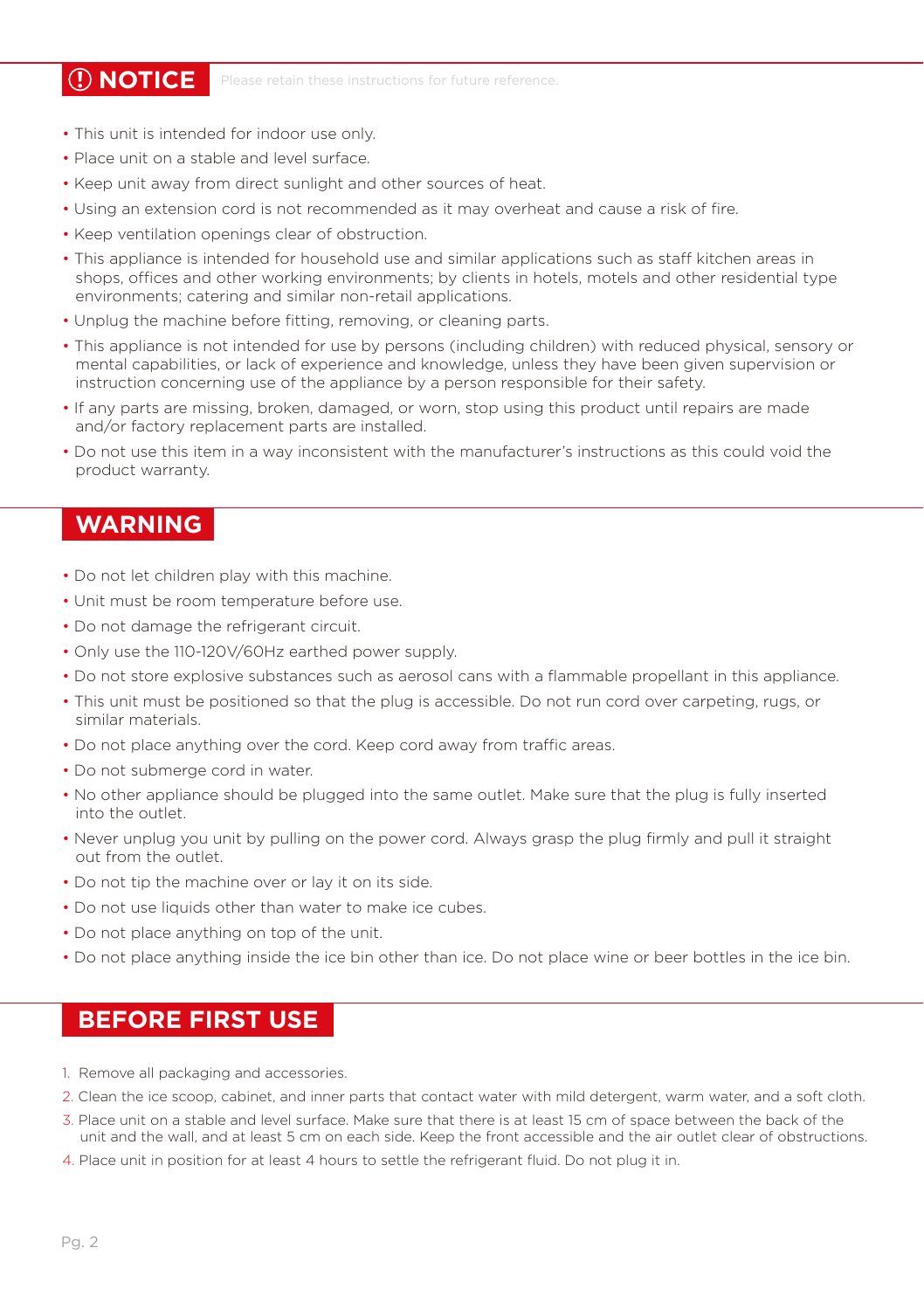**(1) NOTICE** Please retain these instructions for future reference

- This unit is intended for indoor use only.
- Place unit on a stable and level surface.
- Keep unit away from direct sunlight and other sources of heat.
- Using an extension cord is not recommended as it may overheat and cause a risk of fire.
- Keep ventilation openings clear of obstruction.
- This appliance is intended for household use and similar applications such as staff kitchen areas in shops, offices and other working environments; by clients in hotels, motels and other residential type environments; catering and similar non-retail applications.
- Unplug the machine before fitting, removing, or cleaning parts.
- This appliance is not intended for use by persons (including children) with reduced physical, sensory or mental capabilities, or lack of experience and knowledge, unless they have been given supervision or instruction concerning use of the appliance by a person responsible for their safety.
- If any parts are missing, broken, damaged, or worn, stop using this product until repairs are made and/or factory replacement parts are installed.
- Do not use this item in a way inconsistent with the manufacturer's instructions as this could void the product warranty.

#### **WARNING**

- Do not let children play with this machine.
- Unit must be room temperature before use.
- Do not damage the refrigerant circuit.
- Only use the 110-120V/60Hz earthed power supply.
- Do not store explosive substances such as aerosol cans with a flammable propellant in this appliance.
- This unit must be positioned so that the plug is accessible. Do not run cord over carpeting, rugs, or similar materials.
- Do not place anything over the cord. Keep cord away from traffic areas.
- Do not submerge cord in water.
- No other appliance should be plugged into the same outlet. Make sure that the plug is fully inserted into the outlet.
- Never unplug you unit by pulling on the power cord. Always grasp the plug firmly and pull it straight out from the outlet.
- Do not tip the machine over or lay it on its side.
- Do not use liquids other than water to make ice cubes.
- Do not place anything on top of the unit.
- Do not place anything inside the ice bin other than ice. Do not place wine or beer bottles in the ice bin.

#### **BEFORE FIRST USE**

- 1. Remove all packaging and accessories.
- 2. Clean the ice scoop, cabinet, and inner parts that contact water with mild detergent, warm water, and a soft cloth.
- 3. Place unit on a stable and level surface. Make sure that there is at least 15 cm of space between the back of the unit and the wall, and at least 5 cm on each side. Keep the front accessible and the air outlet clear of obstructions.
- 4. Place unit in position for at least 4 hours to settle the refrigerant fluid. Do not plug it in.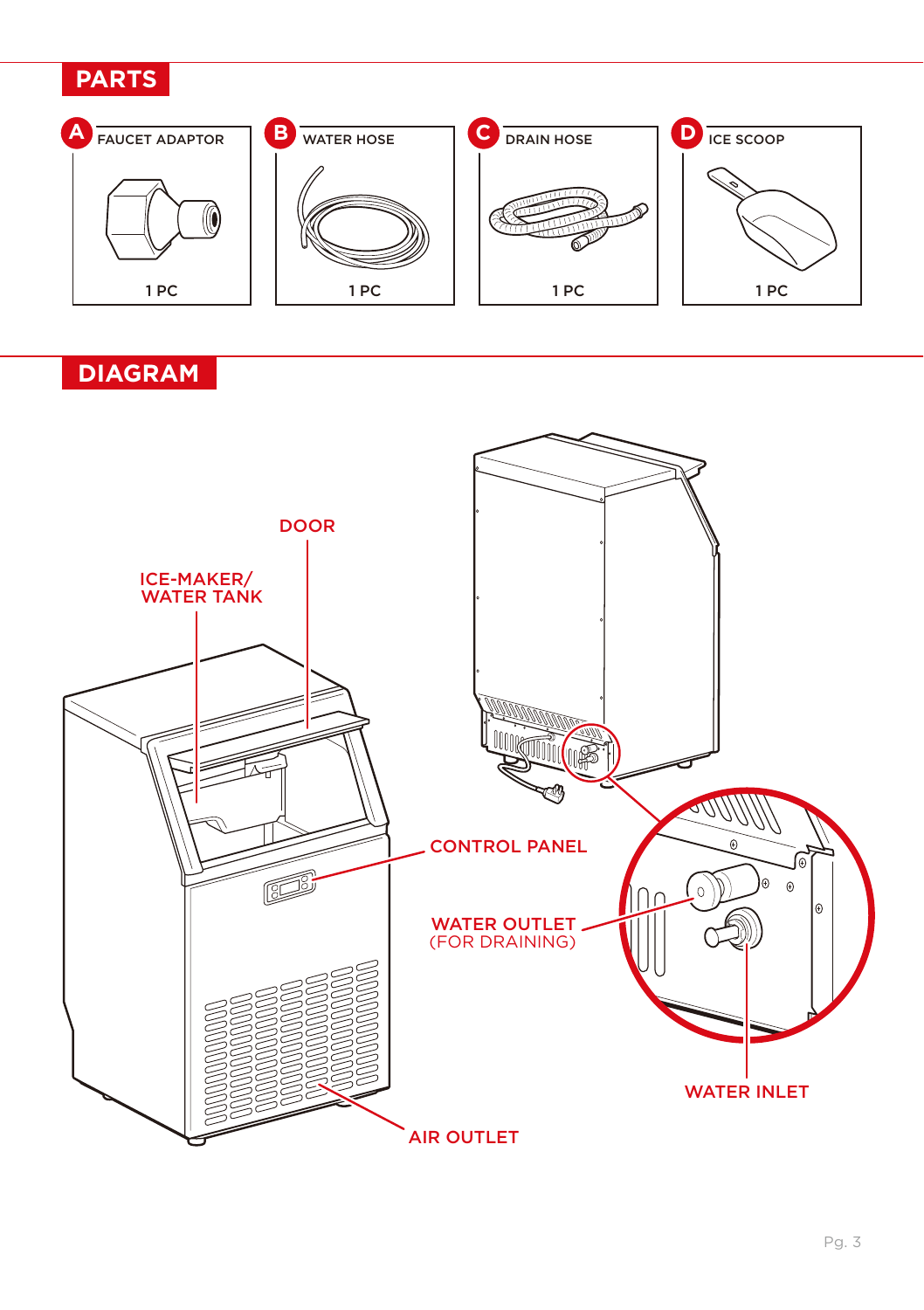#### **PARTS**



### **DIAGRAM**

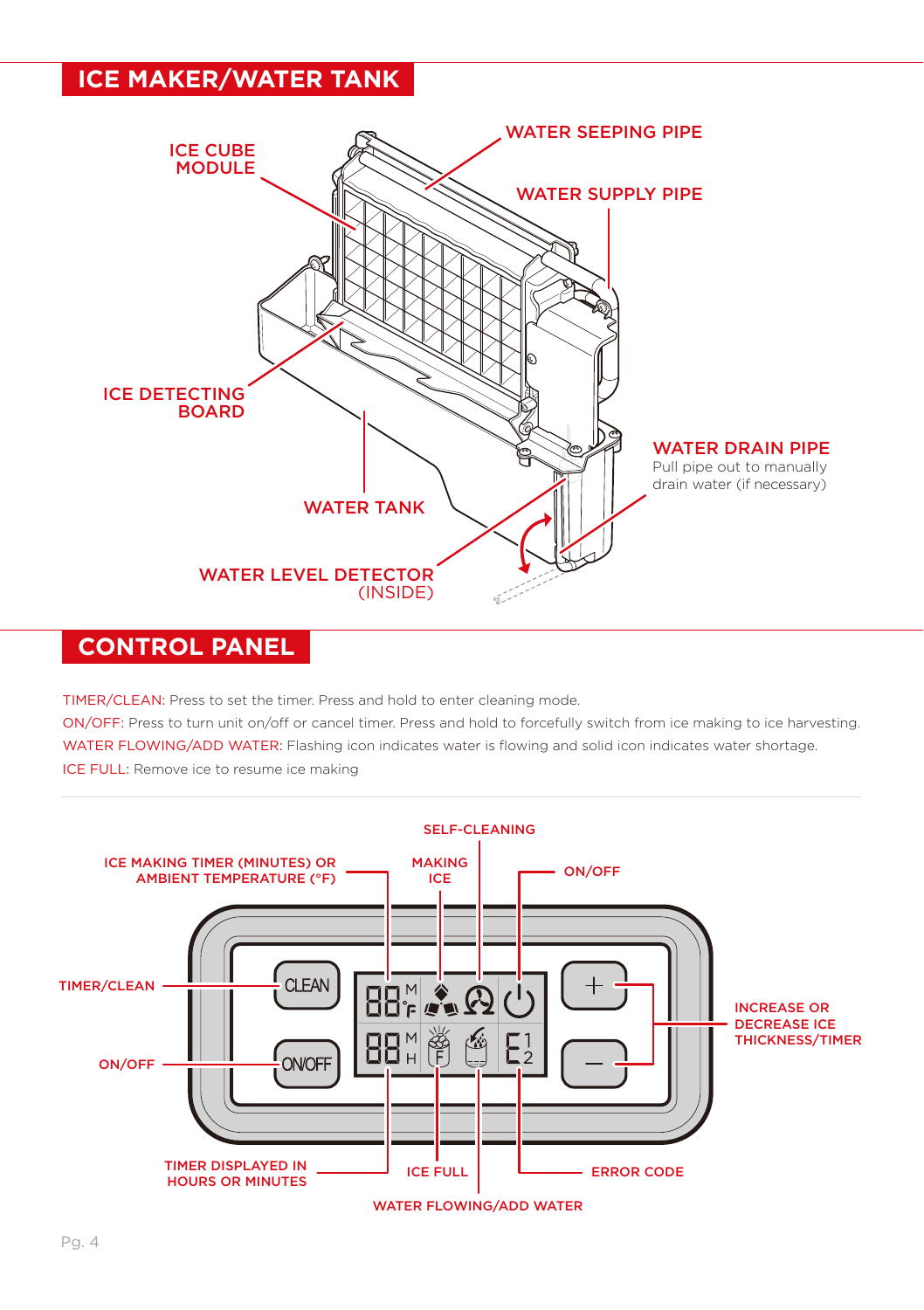#### **ICE MAKER/WATER TANK**



#### **CONTROL PANEL**

TIMER/CLEAN: Press to set the timer. Press and hold to enter cleaning mode.

ON/OFF: Press to turn unit on/off or cancel timer. Press and hold to forcefully switch from ice making to ice harvesting. WATER FLOWING/ADD WATER: Flashing icon indicates water is flowing and solid icon indicates water shortage. ICE FULL: Remove ice to resume ice making

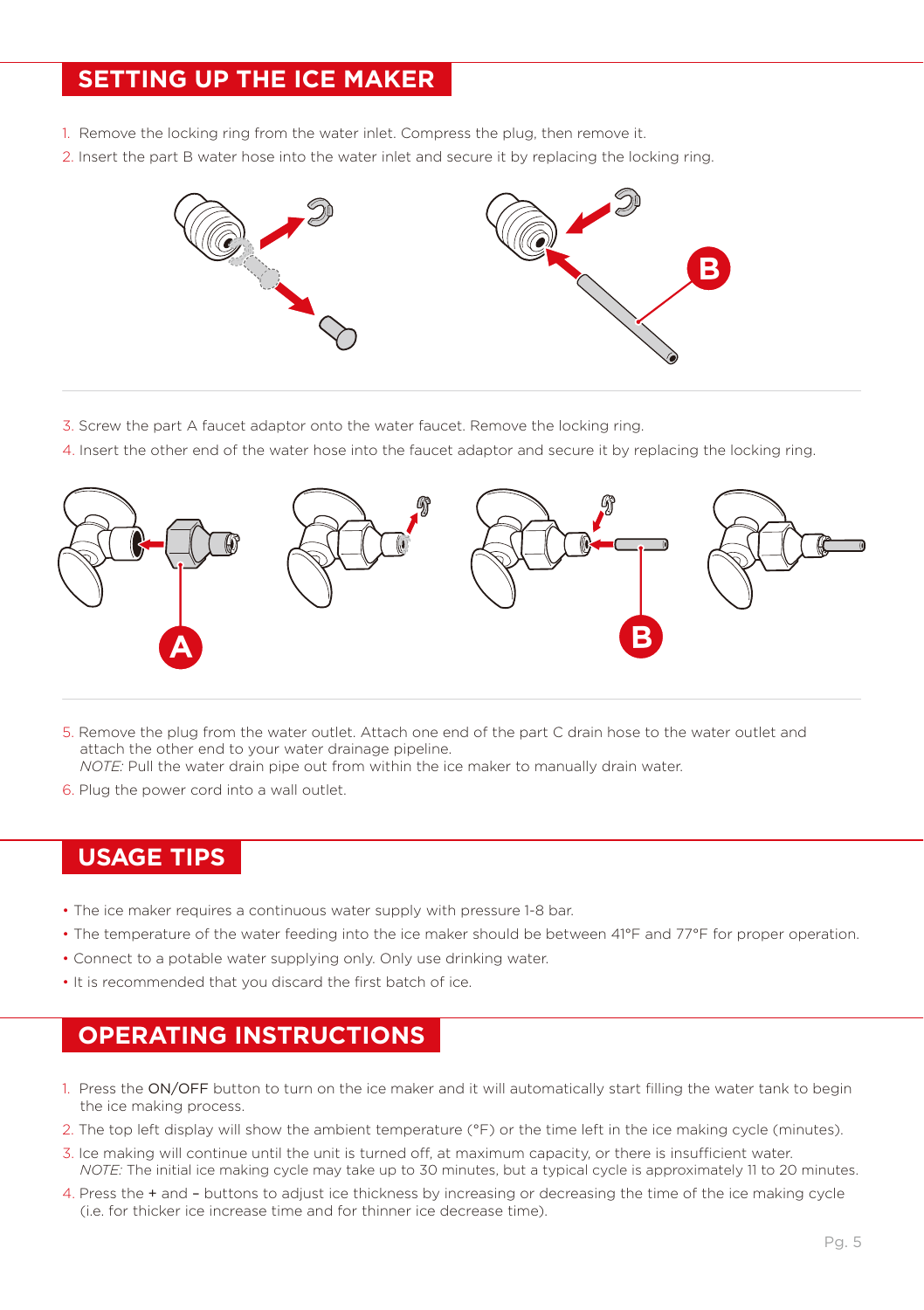#### **SETTING UP THE ICE MAKER**

- 1. Remove the locking ring from the water inlet. Compress the plug, then remove it.
- 2. Insert the part B water hose into the water inlet and secure it by replacing the locking ring.



- 3. Screw the part A faucet adaptor onto the water faucet. Remove the locking ring.
- 4. Insert the other end of the water hose into the faucet adaptor and secure it by replacing the locking ring.



5. Remove the plug from the water outlet. Attach one end of the part C drain hose to the water outlet and attach the other end to your water drainage pipeline.

*NOTE:* Pull the water drain pipe out from within the ice maker to manually drain water.

6. Plug the power cord into a wall outlet.

#### **USAGE TIPS**

- The ice maker requires a continuous water supply with pressure 1-8 bar.
- The temperature of the water feeding into the ice maker should be between 41°F and 77°F for proper operation.
- Connect to a potable water supplying only. Only use drinking water.
- It is recommended that you discard the first batch of ice.

#### **OPERATING INSTRUCTIONS**

- 1. Press the ON/OFF button to turn on the ice maker and it will automatically start filling the water tank to begin the ice making process.
- 2. The top left display will show the ambient temperature (°F) or the time left in the ice making cycle (minutes).
- 3. Ice making will continue until the unit is turned off, at maximum capacity, or there is insufficient water. *NOTE:* The initial ice making cycle may take up to 30 minutes, but a typical cycle is approximately 11 to 20 minutes.
- 4. Press the + and buttons to adjust ice thickness by increasing or decreasing the time of the ice making cycle (i.e. for thicker ice increase time and for thinner ice decrease time).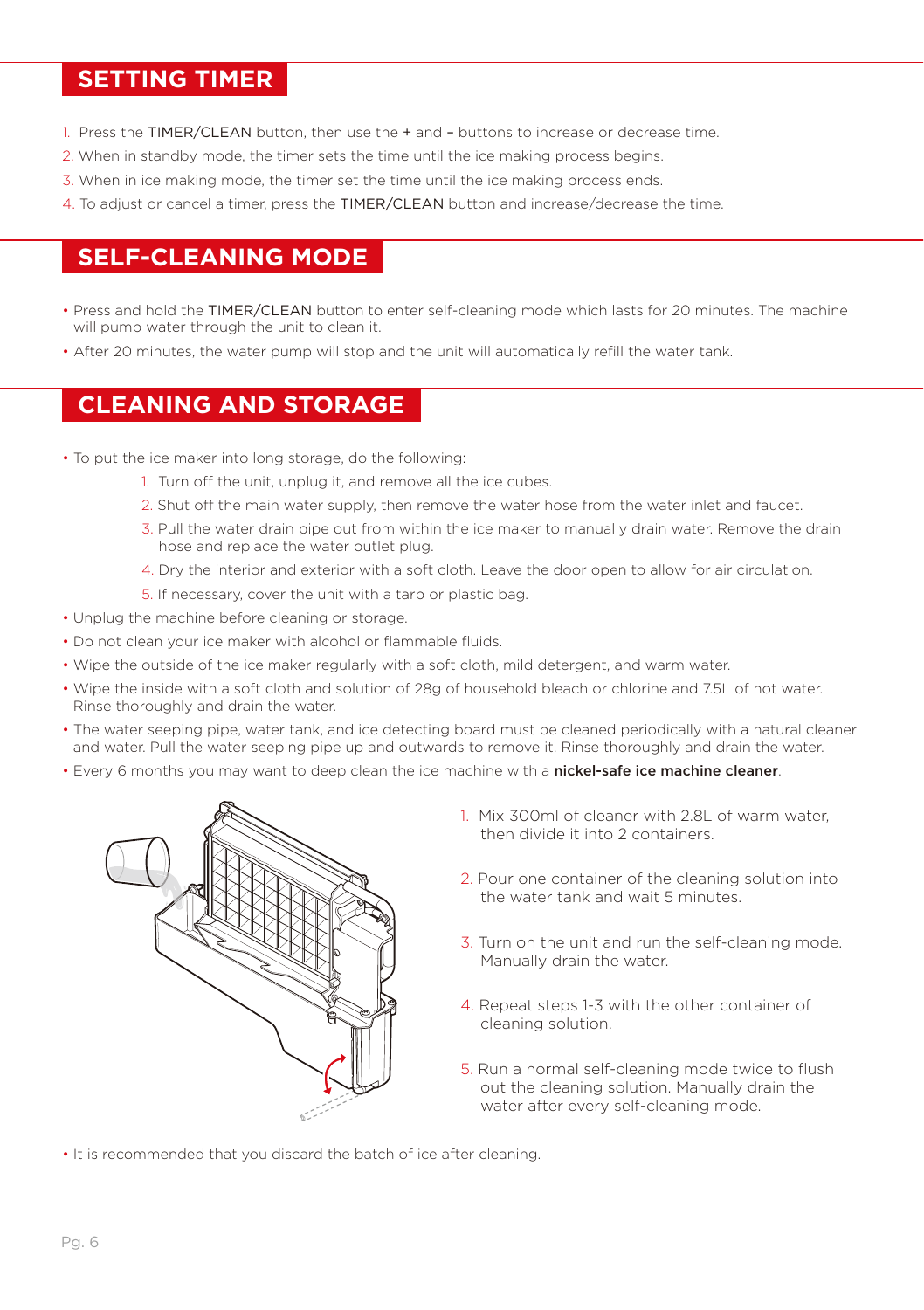#### **SETTING TIMER**

- 1. Press the TIMER/CLEAN button, then use the + and buttons to increase or decrease time.
- 2. When in standby mode, the timer sets the time until the ice making process begins.
- 3. When in ice making mode, the timer set the time until the ice making process ends.
- 4. To adjust or cancel a timer, press the TIMER/CLEAN button and increase/decrease the time.

#### **SELF-CLEANING MODE**

- Press and hold the TIMER/CLEAN button to enter self-cleaning mode which lasts for 20 minutes. The machine will pump water through the unit to clean it.
- After 20 minutes, the water pump will stop and the unit will automatically refill the water tank.

#### **CLEANING AND STORAGE**

- To put the ice maker into long storage, do the following:
	- 1. Turn off the unit, unplug it, and remove all the ice cubes.
	- 2. Shut off the main water supply, then remove the water hose from the water inlet and faucet.
	- 3. Pull the water drain pipe out from within the ice maker to manually drain water. Remove the drain hose and replace the water outlet plug.
	- 4. Dry the interior and exterior with a soft cloth. Leave the door open to allow for air circulation.
	- 5. If necessary, cover the unit with a tarp or plastic bag.
- Unplug the machine before cleaning or storage.
- Do not clean your ice maker with alcohol or flammable fluids.
- Wipe the outside of the ice maker regularly with a soft cloth, mild detergent, and warm water.
- Wipe the inside with a soft cloth and solution of 28g of household bleach or chlorine and 7.5L of hot water. Rinse thoroughly and drain the water.
- The water seeping pipe, water tank, and ice detecting board must be cleaned periodically with a natural cleaner and water. Pull the water seeping pipe up and outwards to remove it. Rinse thoroughly and drain the water.
- Every 6 months you may want to deep clean the ice machine with a nickel-safe ice machine cleaner.



- 1. Mix 300ml of cleaner with 2.8L of warm water, then divide it into 2 containers.
- 2. Pour one container of the cleaning solution into the water tank and wait 5 minutes.
- 3. Turn on the unit and run the self-cleaning mode. Manually drain the water.
- 4. Repeat steps 1-3 with the other container of cleaning solution.
- 5. Run a normal self-cleaning mode twice to flush out the cleaning solution. Manually drain the water after every self-cleaning mode.
- It is recommended that you discard the batch of ice after cleaning.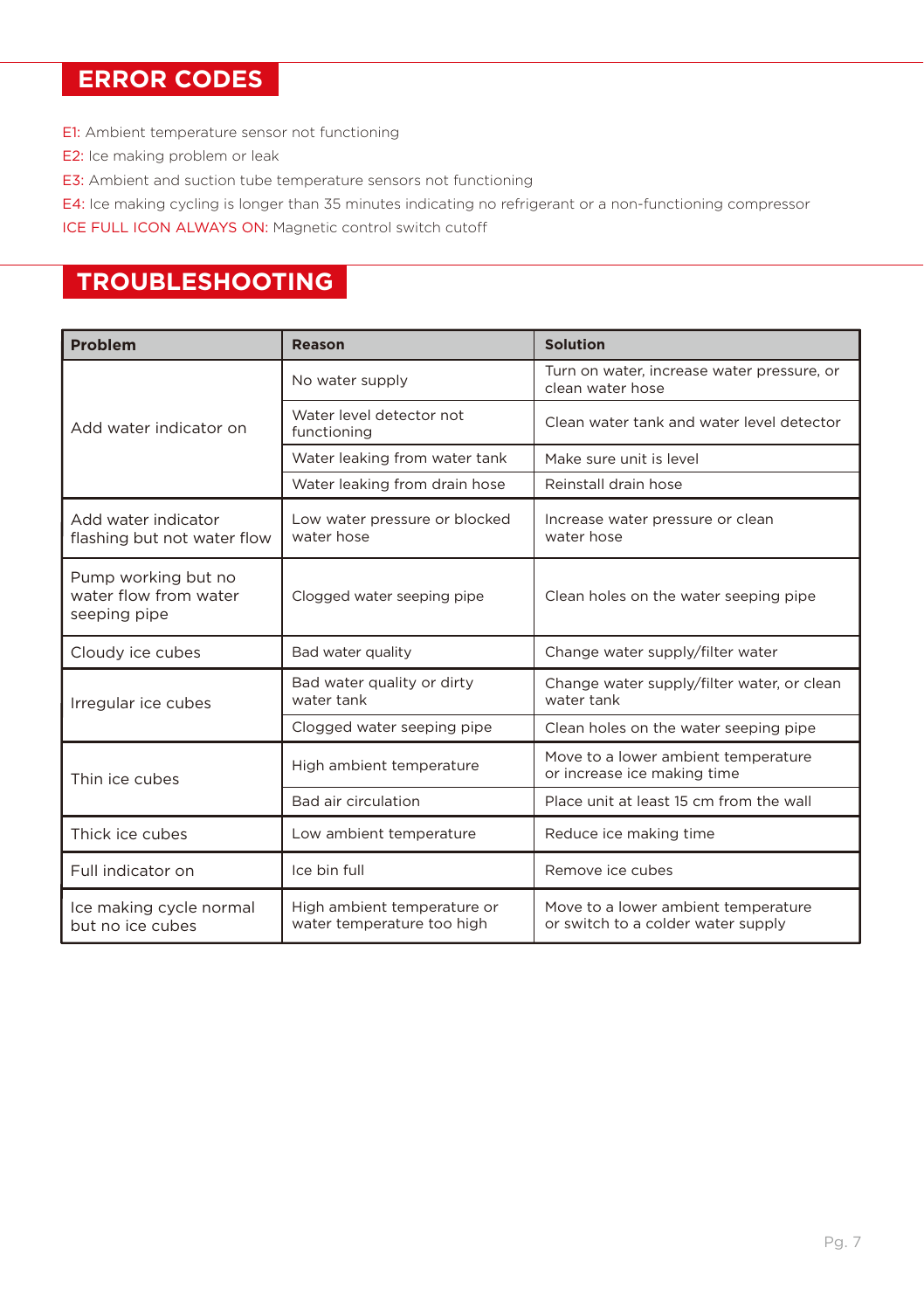#### **ERROR CODES**

- E1: Ambient temperature sensor not functioning
- E2: Ice making problem or leak
- E3: Ambient and suction tube temperature sensors not functioning
- E4: Ice making cycling is longer than 35 minutes indicating no refrigerant or a non-functioning compressor

ICE FULL ICON ALWAYS ON: Magnetic control switch cutoff

### **TROUBLESHOOTING**

| Problem                                                      | Reason                                                    | <b>Solution</b>                                                           |
|--------------------------------------------------------------|-----------------------------------------------------------|---------------------------------------------------------------------------|
| Add water indicator on                                       | No water supply                                           | Turn on water, increase water pressure, or<br>clean water hose            |
|                                                              | Water level detector not<br>functioning                   | Clean water tank and water level detector                                 |
|                                                              | Water leaking from water tank                             | Make sure unit is level                                                   |
|                                                              | Water leaking from drain hose                             | Reinstall drain hose                                                      |
| Add water indicator<br>flashing but not water flow           | Low water pressure or blocked<br>water hose               | Increase water pressure or clean<br>water hose                            |
| Pump working but no<br>water flow from water<br>seeping pipe | Clogged water seeping pipe                                | Clean holes on the water seeping pipe                                     |
| Cloudy ice cubes                                             | Bad water quality                                         | Change water supply/filter water                                          |
| Irregular ice cubes                                          | Bad water quality or dirty<br>water tank                  | Change water supply/filter water, or clean<br>water tank                  |
|                                                              | Clogged water seeping pipe                                | Clean holes on the water seeping pipe                                     |
| Thin ice cubes                                               | High ambient temperature                                  | Move to a lower ambient temperature<br>or increase ice making time        |
|                                                              | Bad air circulation                                       | Place unit at least 15 cm from the wall                                   |
| Thick ice cubes                                              | Low ambient temperature                                   | Reduce ice making time                                                    |
| Full indicator on                                            | Ice bin full                                              | Remove ice cubes                                                          |
| Ice making cycle normal<br>but no ice cubes                  | High ambient temperature or<br>water temperature too high | Move to a lower ambient temperature<br>or switch to a colder water supply |